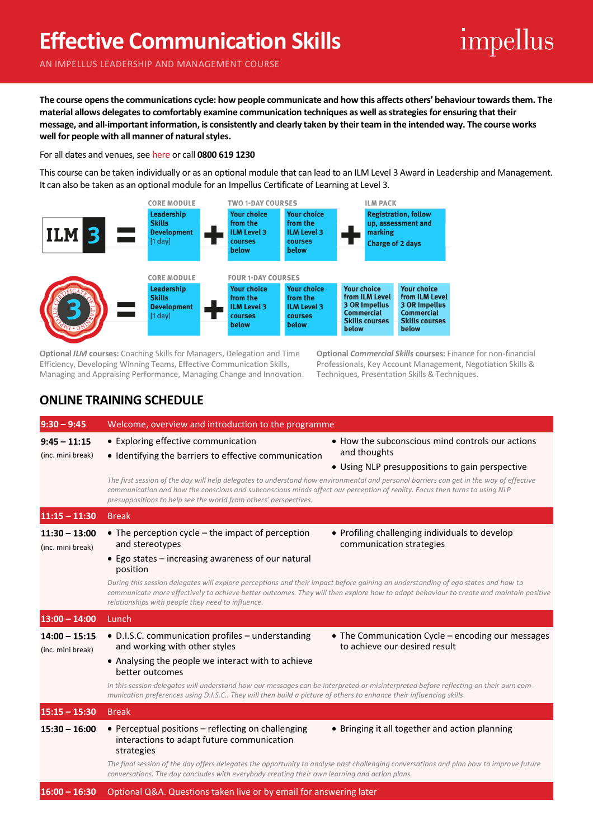## **Effective Communication Skills**

## impellus

AN IMPELLUS LEADERSHIP AND MANAGEMENT COURSE

**The course opens the communications cycle: how people communicate and how this affects others' behaviour towards them. The material allows delegates to comfortably examine communication techniques as well as strategies for ensuring that their message, and all-important information, is consistently and clearly taken by their team in the intended way. The course works well for people with all manner of natural styles.**

For all dates and venues, see [here](https://impellus.com/course/effective-communication-skills/) or call **0800 619 1230**

This course can be taken individually or as an optional module that can lead to an ILM Level 3 Award in Leadership and Management. It can also be taken as an optional module for an Impellus Certificate of Learning at Level 3.



**Optional** *ILM* **courses:** Coaching Skills for Managers, Delegation and Time Efficiency, Developing Winning Teams, Effective Communication Skills, Managing and Appraising Performance, Managing Change and Innovation. **Optional** *Commercial Skills* **courses:** Finance for non-financial Professionals, Key Account Management, Negotiation Skills & Techniques, Presentation Skills & Techniques.

## **ONLINE TRAINING SCHEDULE**

| $9:30 - 9:45$                        | Welcome, overview and introduction to the programme                                                                                                                                                                                                                                                                                                                                                                                                                                         |  |  |
|--------------------------------------|---------------------------------------------------------------------------------------------------------------------------------------------------------------------------------------------------------------------------------------------------------------------------------------------------------------------------------------------------------------------------------------------------------------------------------------------------------------------------------------------|--|--|
| $9:45 - 11:15$<br>(inc. mini break)  | • Exploring effective communication<br>• How the subconscious mind controls our actions<br>and thoughts<br>• Identifying the barriers to effective communication<br>• Using NLP presuppositions to gain perspective<br>The first session of the day will help delegates to understand how environmental and personal barriers can get in the way of effective<br>communication and how the conscious and subconscious minds affect our perception of reality. Focus then turns to using NLP |  |  |
|                                      | presuppositions to help see the world from others' perspectives.                                                                                                                                                                                                                                                                                                                                                                                                                            |  |  |
| $11:15 - 11:30$                      | <b>Break</b>                                                                                                                                                                                                                                                                                                                                                                                                                                                                                |  |  |
| $11:30 - 13:00$<br>(inc. mini break) | $\bullet$ The perception cycle – the impact of perception<br>• Profiling challenging individuals to develop<br>and stereotypes<br>communication strategies                                                                                                                                                                                                                                                                                                                                  |  |  |
|                                      | • Ego states - increasing awareness of our natural<br>position                                                                                                                                                                                                                                                                                                                                                                                                                              |  |  |
|                                      | During this session delegates will explore perceptions and their impact before gaining an understanding of ego states and how to<br>communicate more effectively to achieve better outcomes. They will then explore how to adapt behaviour to create and maintain positive<br>relationships with people they need to influence.                                                                                                                                                             |  |  |
| $13:00 - 14:00$                      | Lunch                                                                                                                                                                                                                                                                                                                                                                                                                                                                                       |  |  |
| $14:00 - 15:15$<br>(inc. mini break) | • D.I.S.C. communication profiles – understanding<br>• The Communication Cycle – encoding our messages<br>to achieve our desired result<br>and working with other styles                                                                                                                                                                                                                                                                                                                    |  |  |
|                                      | • Analysing the people we interact with to achieve<br>better outcomes                                                                                                                                                                                                                                                                                                                                                                                                                       |  |  |
|                                      | In this session delegates will understand how our messages can be interpreted or misinterpreted before reflecting on their own com-<br>munication preferences using D.I.S.C They will then build a picture of others to enhance their influencing skills.                                                                                                                                                                                                                                   |  |  |
| $15:15 - 15:30$                      | <b>Break</b>                                                                                                                                                                                                                                                                                                                                                                                                                                                                                |  |  |
| $15:30 - 16:00$                      | • Perceptual positions - reflecting on challenging<br>• Bringing it all together and action planning<br>interactions to adapt future communication<br>strategies                                                                                                                                                                                                                                                                                                                            |  |  |
|                                      | The final session of the day offers delegates the opportunity to analyse past challenging conversations and plan how to improve future<br>conversations. The day concludes with everybody creating their own learning and action plans.                                                                                                                                                                                                                                                     |  |  |
| $16:00 - 16:30$                      | Optional Q&A. Questions taken live or by email for answering later                                                                                                                                                                                                                                                                                                                                                                                                                          |  |  |